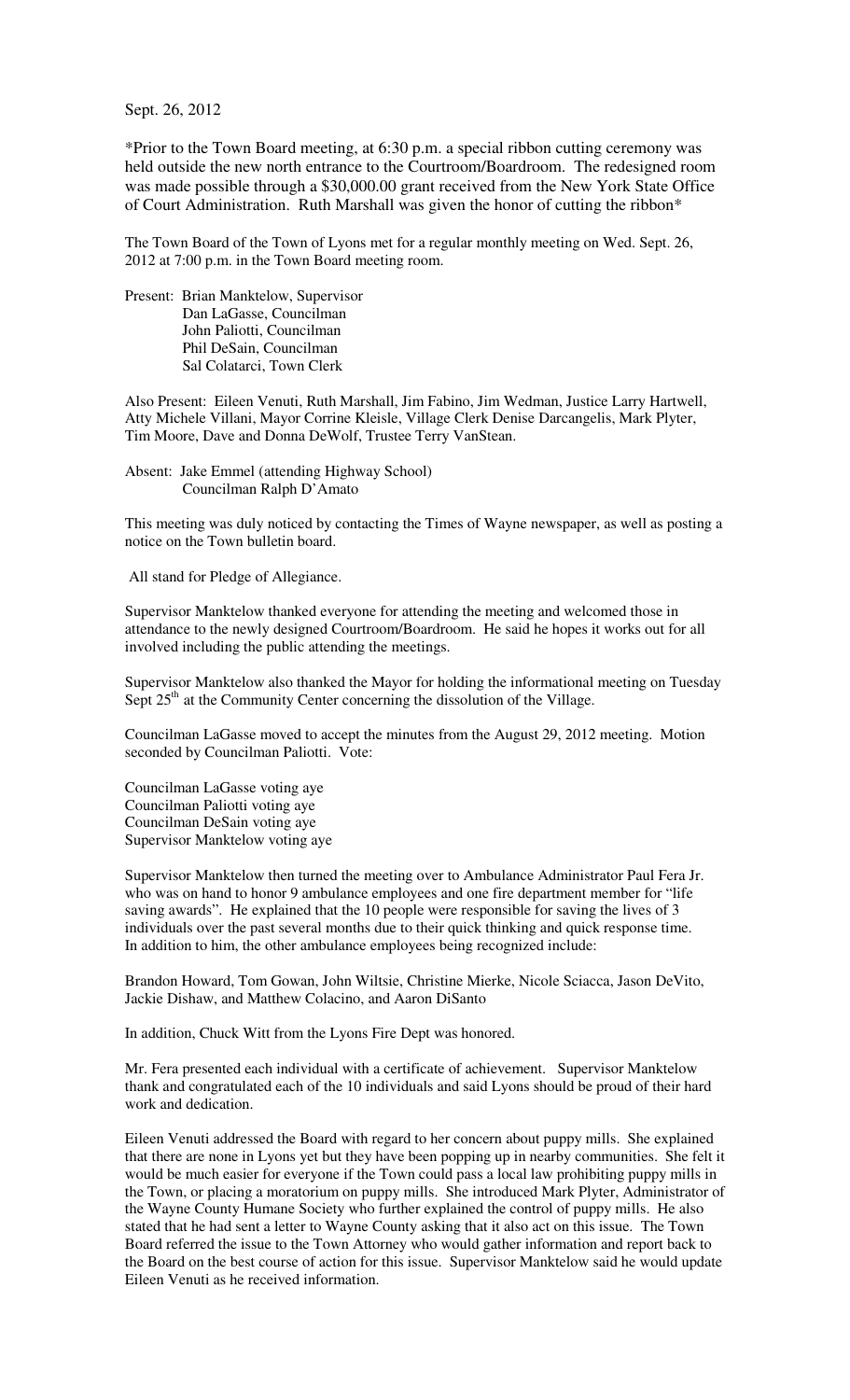Sept. 26, 2012

\*Prior to the Town Board meeting, at 6:30 p.m. a special ribbon cutting ceremony was held outside the new north entrance to the Courtroom/Boardroom. The redesigned room was made possible through a \$30,000.00 grant received from the New York State Office of Court Administration. Ruth Marshall was given the honor of cutting the ribbon\*

The Town Board of the Town of Lyons met for a regular monthly meeting on Wed. Sept. 26, 2012 at 7:00 p.m. in the Town Board meeting room.

Present: Brian Manktelow, Supervisor Dan LaGasse, Councilman John Paliotti, Councilman Phil DeSain, Councilman Sal Colatarci, Town Clerk

Also Present: Eileen Venuti, Ruth Marshall, Jim Fabino, Jim Wedman, Justice Larry Hartwell, Atty Michele Villani, Mayor Corrine Kleisle, Village Clerk Denise Darcangelis, Mark Plyter, Tim Moore, Dave and Donna DeWolf, Trustee Terry VanStean.

Absent: Jake Emmel (attending Highway School) Councilman Ralph D'Amato

This meeting was duly noticed by contacting the Times of Wayne newspaper, as well as posting a notice on the Town bulletin board.

All stand for Pledge of Allegiance.

Supervisor Manktelow thanked everyone for attending the meeting and welcomed those in attendance to the newly designed Courtroom/Boardroom. He said he hopes it works out for all involved including the public attending the meetings.

Supervisor Manktelow also thanked the Mayor for holding the informational meeting on Tuesday Sept  $25<sup>th</sup>$  at the Community Center concerning the dissolution of the Village.

Councilman LaGasse moved to accept the minutes from the August 29, 2012 meeting. Motion seconded by Councilman Paliotti. Vote:

Councilman LaGasse voting aye Councilman Paliotti voting aye Councilman DeSain voting aye Supervisor Manktelow voting aye

Supervisor Manktelow then turned the meeting over to Ambulance Administrator Paul Fera Jr. who was on hand to honor 9 ambulance employees and one fire department member for "life saving awards". He explained that the 10 people were responsible for saving the lives of 3 individuals over the past several months due to their quick thinking and quick response time. In addition to him, the other ambulance employees being recognized include:

Brandon Howard, Tom Gowan, John Wiltsie, Christine Mierke, Nicole Sciacca, Jason DeVito, Jackie Dishaw, and Matthew Colacino, and Aaron DiSanto

In addition, Chuck Witt from the Lyons Fire Dept was honored.

Mr. Fera presented each individual with a certificate of achievement. Supervisor Manktelow thank and congratulated each of the 10 individuals and said Lyons should be proud of their hard work and dedication.

Eileen Venuti addressed the Board with regard to her concern about puppy mills. She explained that there are none in Lyons yet but they have been popping up in nearby communities. She felt it would be much easier for everyone if the Town could pass a local law prohibiting puppy mills in the Town, or placing a moratorium on puppy mills. She introduced Mark Plyter, Administrator of the Wayne County Humane Society who further explained the control of puppy mills. He also stated that he had sent a letter to Wayne County asking that it also act on this issue. The Town Board referred the issue to the Town Attorney who would gather information and report back to the Board on the best course of action for this issue. Supervisor Manktelow said he would update Eileen Venuti as he received information.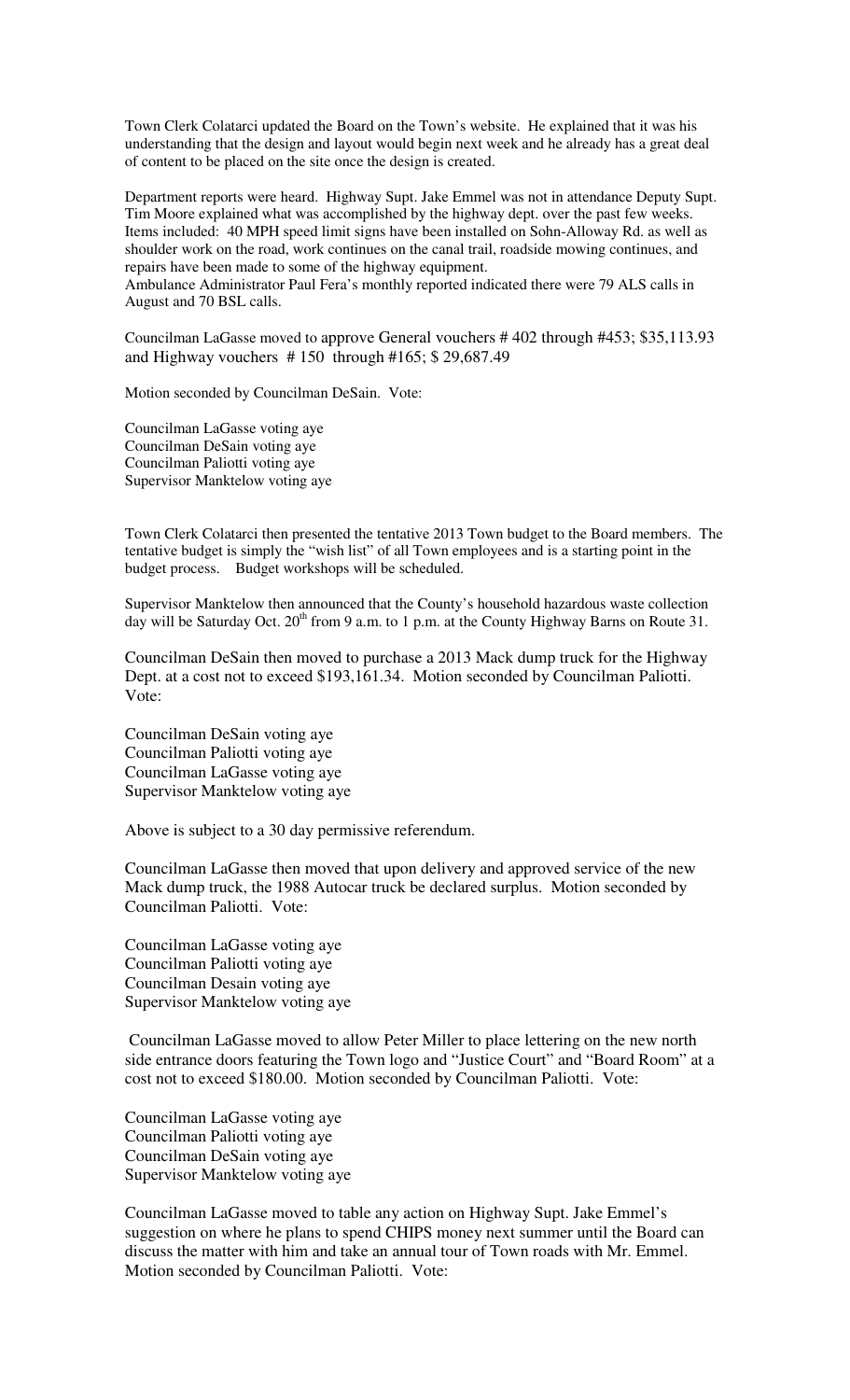Town Clerk Colatarci updated the Board on the Town's website. He explained that it was his understanding that the design and layout would begin next week and he already has a great deal of content to be placed on the site once the design is created.

Department reports were heard. Highway Supt. Jake Emmel was not in attendance Deputy Supt. Tim Moore explained what was accomplished by the highway dept. over the past few weeks. Items included: 40 MPH speed limit signs have been installed on Sohn-Alloway Rd. as well as shoulder work on the road, work continues on the canal trail, roadside mowing continues, and repairs have been made to some of the highway equipment.

Ambulance Administrator Paul Fera's monthly reported indicated there were 79 ALS calls in August and 70 BSL calls.

Councilman LaGasse moved to approve General vouchers # 402 through #453; \$35,113.93 and Highway vouchers # 150 through #165; \$ 29,687.49

Motion seconded by Councilman DeSain. Vote:

Councilman LaGasse voting aye Councilman DeSain voting aye Councilman Paliotti voting aye Supervisor Manktelow voting aye

Town Clerk Colatarci then presented the tentative 2013 Town budget to the Board members. The tentative budget is simply the "wish list" of all Town employees and is a starting point in the budget process. Budget workshops will be scheduled.

Supervisor Manktelow then announced that the County's household hazardous waste collection day will be Saturday Oct. 20<sup>th</sup> from 9 a.m. to 1 p.m. at the County Highway Barns on Route 31.

Councilman DeSain then moved to purchase a 2013 Mack dump truck for the Highway Dept. at a cost not to exceed \$193,161.34. Motion seconded by Councilman Paliotti. Vote:

Councilman DeSain voting aye Councilman Paliotti voting aye Councilman LaGasse voting aye Supervisor Manktelow voting aye

Above is subject to a 30 day permissive referendum.

Councilman LaGasse then moved that upon delivery and approved service of the new Mack dump truck, the 1988 Autocar truck be declared surplus. Motion seconded by Councilman Paliotti. Vote:

Councilman LaGasse voting aye Councilman Paliotti voting aye Councilman Desain voting aye Supervisor Manktelow voting aye

 Councilman LaGasse moved to allow Peter Miller to place lettering on the new north side entrance doors featuring the Town logo and "Justice Court" and "Board Room" at a cost not to exceed \$180.00. Motion seconded by Councilman Paliotti. Vote:

Councilman LaGasse voting aye Councilman Paliotti voting aye Councilman DeSain voting aye Supervisor Manktelow voting aye

Councilman LaGasse moved to table any action on Highway Supt. Jake Emmel's suggestion on where he plans to spend CHIPS money next summer until the Board can discuss the matter with him and take an annual tour of Town roads with Mr. Emmel. Motion seconded by Councilman Paliotti. Vote: